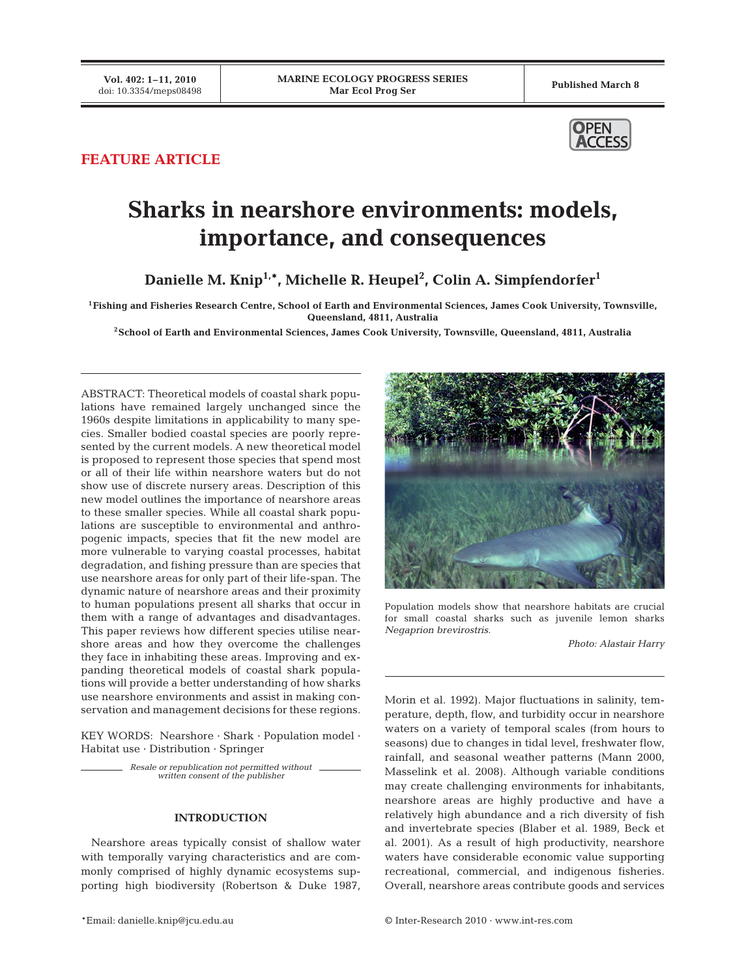

## **FEATURE ARTICLE**

# **Sharks in nearshore environments: models, importance, and consequences**

**Danielle M. Knip1,\*, Michelle R. Heupel2 , Colin A. Simpfendorfer1**

**1Fishing and Fisheries Research Centre, School of Earth and Environmental Sciences, James Cook University, Townsville, Queensland, 4811, Australia**

**2School of Earth and Environmental Sciences, James Cook University, Townsville, Queensland, 4811, Australia**

ABSTRACT: Theoretical models of coastal shark populations have remained largely unchanged since the 1960s despite limitations in applicability to many species. Smaller bodied coastal species are poorly represented by the current models. A new theoretical model is proposed to represent those species that spend most or all of their life within nearshore waters but do not show use of discrete nursery areas. Description of this new model outlines the importance of nearshore areas to these smaller species. While all coastal shark populations are susceptible to environmental and anthropogenic impacts, species that fit the new model are more vulnerable to varying coastal processes, habitat degradation, and fishing pressure than are species that use nearshore areas for only part of their life-span. The dynamic nature of nearshore areas and their proximity to human populations present all sharks that occur in them with a range of advantages and disadvantages. This paper reviews how different species utilise nearshore areas and how they overcome the challenges they face in inhabiting these areas. Improving and expanding theoretical models of coastal shark populations will provide a better understanding of how sharks use nearshore environments and assist in making conservation and management decisions for these regions.

KEY WORDS: Nearshore · Shark · Population model · Habitat use · Distribution · Springer

> *Resale or republication not permitted without written consent of the publisher*

### **INTRODUCTION**

Nearshore areas typically consist of shallow water with temporally varying characteristics and are commonly comprised of highly dynamic ecosystems supporting high biodiversity (Robertson & Duke 1987,



Population models show that nearshore habitats are crucial for small coastal sharks such as juvenile lemon sharks *Negaprion brevirostris*.

*Photo: Alastair Harry*

Morin et al. 1992). Major fluctuations in salinity, temperature, depth, flow, and turbidity occur in nearshore waters on a variety of temporal scales (from hours to seasons) due to changes in tidal level, freshwater flow, rainfall, and seasonal weather patterns (Mann 2000, Masselink et al. 2008). Although variable conditions may create challenging environments for inhabitants, nearshore areas are highly productive and have a relatively high abundance and a rich diversity of fish and invertebrate species (Blaber et al. 1989, Beck et al. 2001). As a result of high productivity, nearshore waters have considerable economic value supporting recreational, commercial, and indigenous fisheries. Overall, nearshore areas contribute goods and services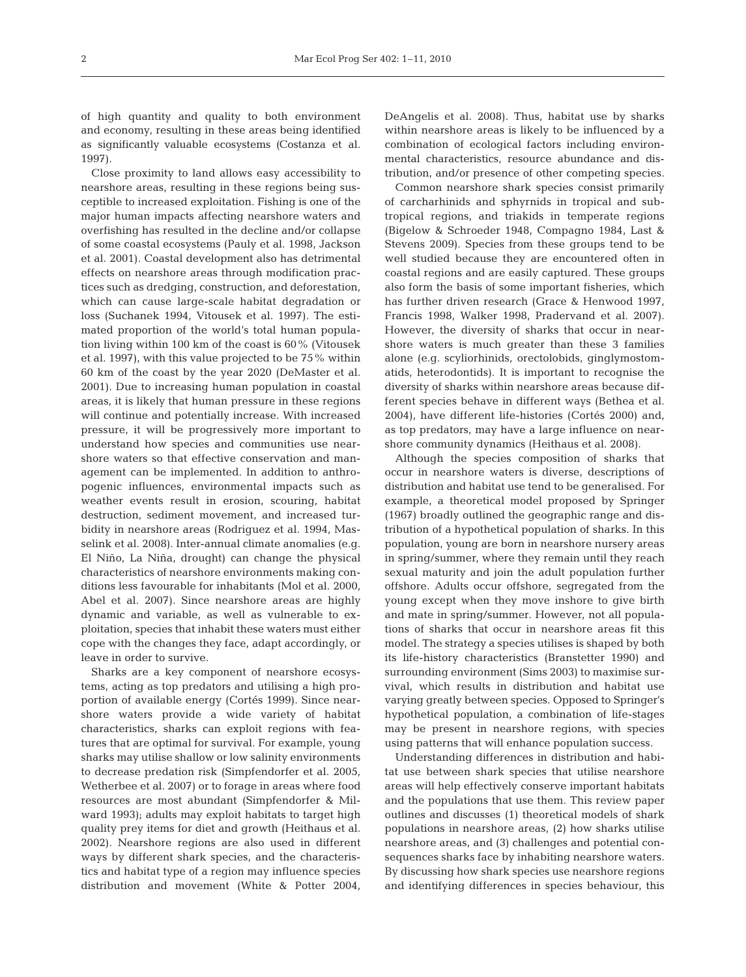of high quantity and quality to both environment and economy, resulting in these areas being identified as significantly valuable ecosystems (Costanza et al. 1997).

Close proximity to land allows easy accessibility to nearshore areas, resulting in these regions being susceptible to increased exploitation. Fishing is one of the major human impacts affecting nearshore waters and overfishing has resulted in the decline and/or collapse of some coastal ecosystems (Pauly et al. 1998, Jackson et al. 2001). Coastal development also has detrimental effects on nearshore areas through modification practices such as dredging, construction, and deforestation, which can cause large-scale habitat degradation or loss (Suchanek 1994, Vitousek et al. 1997). The estimated proportion of the world's total human population living within 100 km of the coast is 60% (Vitousek et al. 1997), with this value projected to be 75% within 60 km of the coast by the year 2020 (DeMaster et al. 2001). Due to increasing human population in coastal areas, it is likely that human pressure in these regions will continue and potentially increase. With increased pressure, it will be progressively more important to understand how species and communities use nearshore waters so that effective conservation and management can be implemented. In addition to anthropogenic influences, environmental impacts such as weather events result in erosion, scouring, habitat destruction, sediment movement, and increased turbidity in nearshore areas (Rodriguez et al. 1994, Masselink et al. 2008). Inter-annual climate anomalies (e.g. El Niño, La Niña, drought) can change the physical characteristics of nearshore environments making conditions less favourable for inhabitants (Mol et al. 2000, Abel et al. 2007). Since nearshore areas are highly dynamic and variable, as well as vulnerable to exploitation, species that inhabit these waters must either cope with the changes they face, adapt accordingly, or leave in order to survive.

Sharks are a key component of nearshore ecosystems, acting as top predators and utilising a high proportion of available energy (Cortés 1999). Since nearshore waters provide a wide variety of habitat characteristics, sharks can exploit regions with features that are optimal for survival. For example, young sharks may utilise shallow or low salinity environments to decrease predation risk (Simpfendorfer et al. 2005, Wetherbee et al. 2007) or to forage in areas where food resources are most abundant (Simpfendorfer & Milward 1993); adults may exploit habitats to target high quality prey items for diet and growth (Heithaus et al. 2002). Nearshore regions are also used in different ways by different shark species, and the characteristics and habitat type of a region may influence species distribution and movement (White & Potter 2004,

DeAngelis et al. 2008). Thus, habitat use by sharks within nearshore areas is likely to be influenced by a combination of ecological factors including environmental characteristics, resource abundance and distribution, and/or presence of other competing species.

Common nearshore shark species consist primarily of carcharhinids and sphyrnids in tropical and subtropical regions, and triakids in temperate regions (Bigelow & Schroeder 1948, Compagno 1984, Last & Stevens 2009). Species from these groups tend to be well studied because they are encountered often in coastal regions and are easily captured. These groups also form the basis of some important fisheries, which has further driven research (Grace & Henwood 1997, Francis 1998, Walker 1998, Pradervand et al. 2007). However, the diversity of sharks that occur in nearshore waters is much greater than these 3 families alone (e.g. scyliorhinids, orectolobids, ginglymostomatids, heterodontids). It is important to recognise the diversity of sharks within nearshore areas because different species behave in different ways (Bethea et al. 2004), have different life-histories (Cortés 2000) and, as top predators, may have a large influence on nearshore community dynamics (Heithaus et al. 2008).

Although the species composition of sharks that occur in nearshore waters is diverse, descriptions of distribution and habitat use tend to be generalised. For example, a theoretical model proposed by Springer (1967) broadly outlined the geographic range and distribution of a hypothetical population of sharks. In this population, young are born in nearshore nursery areas in spring/summer, where they remain until they reach sexual maturity and join the adult population further offshore. Adults occur offshore, segregated from the young except when they move inshore to give birth and mate in spring/summer. However, not all populations of sharks that occur in nearshore areas fit this model. The strategy a species utilises is shaped by both its life-history characteristics (Branstetter 1990) and surrounding environment (Sims 2003) to maximise survival, which results in distribution and habitat use varying greatly between species. Opposed to Springer's hypothetical population, a combination of life-stages may be present in nearshore regions, with species using patterns that will enhance population success.

Understanding differences in distribution and habitat use between shark species that utilise nearshore areas will help effectively conserve important habitats and the populations that use them. This review paper outlines and discusses (1) theoretical models of shark populations in nearshore areas, (2) how sharks utilise nearshore areas, and (3) challenges and potential consequences sharks face by inhabiting nearshore waters. By discussing how shark species use nearshore regions and identifying differences in species behaviour, this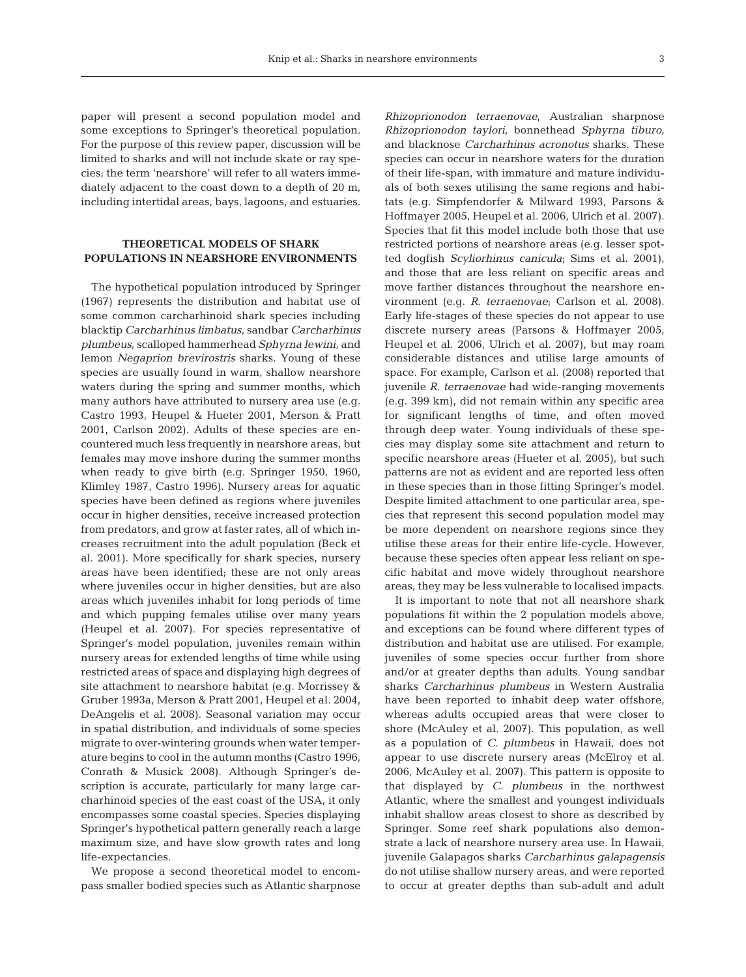paper will present a second population model and some exceptions to Springer's theoretical population. For the purpose of this review paper, discussion will be limited to sharks and will not include skate or ray species; the term 'nearshore' will refer to all waters immediately adjacent to the coast down to a depth of 20 m, including intertidal areas, bays, lagoons, and estuaries.

#### **THEORETICAL MODELS OF SHARK POPULATIONS IN NEARSHORE ENVIRONMENTS**

The hypothetical population introduced by Springer (1967) represents the distribution and habitat use of some common carcharhinoid shark species including blacktip *Carcharhinus limbatus*, sandbar *Carcharhinus plumbeus*, scalloped hammerhead *Sphyrna lewini*, and lemon *Negaprion brevirostris* sharks. Young of these species are usually found in warm, shallow nearshore waters during the spring and summer months, which many authors have attributed to nursery area use (e.g. Castro 1993, Heupel & Hueter 2001, Merson & Pratt 2001, Carlson 2002). Adults of these species are encountered much less frequently in nearshore areas, but females may move inshore during the summer months when ready to give birth (e.g. Springer 1950, 1960, Klimley 1987, Castro 1996). Nursery areas for aquatic species have been defined as regions where juveniles occur in higher densities, receive increased protection from predators, and grow at faster rates, all of which increases recruitment into the adult population (Beck et al. 2001). More specifically for shark species, nursery areas have been identified; these are not only areas where juveniles occur in higher densities, but are also areas which juveniles inhabit for long periods of time and which pupping females utilise over many years (Heupel et al. 2007). For species representative of Springer's model population, juveniles remain within nursery areas for extended lengths of time while using restricted areas of space and displaying high degrees of site attachment to nearshore habitat (e.g. Morrissey & Gruber 1993a, Merson & Pratt 2001, Heupel et al. 2004, DeAngelis et al. 2008). Seasonal variation may occur in spatial distribution, and individuals of some species migrate to over-wintering grounds when water temperature begins to cool in the autumn months (Castro 1996, Conrath & Musick 2008). Although Springer's description is accurate, particularly for many large carcharhinoid species of the east coast of the USA, it only encompasses some coastal species. Species displaying Springer's hypothetical pattern generally reach a large maximum size, and have slow growth rates and long life-expectancies.

We propose a second theoretical model to encompass smaller bodied species such as Atlantic sharpnose *Rhizoprionodon terraenovae*, Australian sharpnose *Rhizoprionodon taylori*, bonnethead *Sphyrna tiburo*, and blacknose *Carcharhinus acronotus* sharks. These species can occur in nearshore waters for the duration of their life-span, with immature and mature individuals of both sexes utilising the same regions and habitats (e.g. Simpfendorfer & Milward 1993, Parsons & Hoffmayer 2005, Heupel et al. 2006, Ulrich et al. 2007). Species that fit this model include both those that use restricted portions of nearshore areas (e.g. lesser spotted dogfish *Scyliorhinus canicula*; Sims et al. 2001), and those that are less reliant on specific areas and move farther distances throughout the nearshore environment (e.g. *R*. *terraenovae*; Carlson et al. 2008). Early life-stages of these species do not appear to use discrete nursery areas (Parsons & Hoffmayer 2005, Heupel et al. 2006, Ulrich et al. 2007), but may roam considerable distances and utilise large amounts of space. For example, Carlson et al. (2008) reported that juvenile *R*. *terraenovae* had wide-ranging movements (e.g. 399 km), did not remain within any specific area for significant lengths of time, and often moved through deep water. Young individuals of these species may display some site attachment and return to specific nearshore areas (Hueter et al. 2005), but such patterns are not as evident and are reported less often in these species than in those fitting Springer's model. Despite limited attachment to one particular area, species that represent this second population model may be more dependent on nearshore regions since they utilise these areas for their entire life-cycle. However, because these species often appear less reliant on specific habitat and move widely throughout nearshore areas, they may be less vulnerable to localised impacts.

It is important to note that not all nearshore shark populations fit within the 2 population models above, and exceptions can be found where different types of distribution and habitat use are utilised. For example, juveniles of some species occur further from shore and/or at greater depths than adults. Young sandbar sharks *Carcharhinus plumbeus* in Western Australia have been reported to inhabit deep water offshore, whereas adults occupied areas that were closer to shore (McAuley et al. 2007). This population, as well as a population of *C*. *plumbeus* in Hawaii, does not appear to use discrete nursery areas (McElroy et al. 2006, McAuley et al. 2007). This pattern is opposite to that displayed by *C*. *plumbeus* in the northwest Atlantic, where the smallest and youngest individuals inhabit shallow areas closest to shore as described by Springer. Some reef shark populations also demonstrate a lack of nearshore nursery area use. In Hawaii, juvenile Galapagos sharks *Carcharhinus galapagensis* do not utilise shallow nursery areas, and were reported to occur at greater depths than sub-adult and adult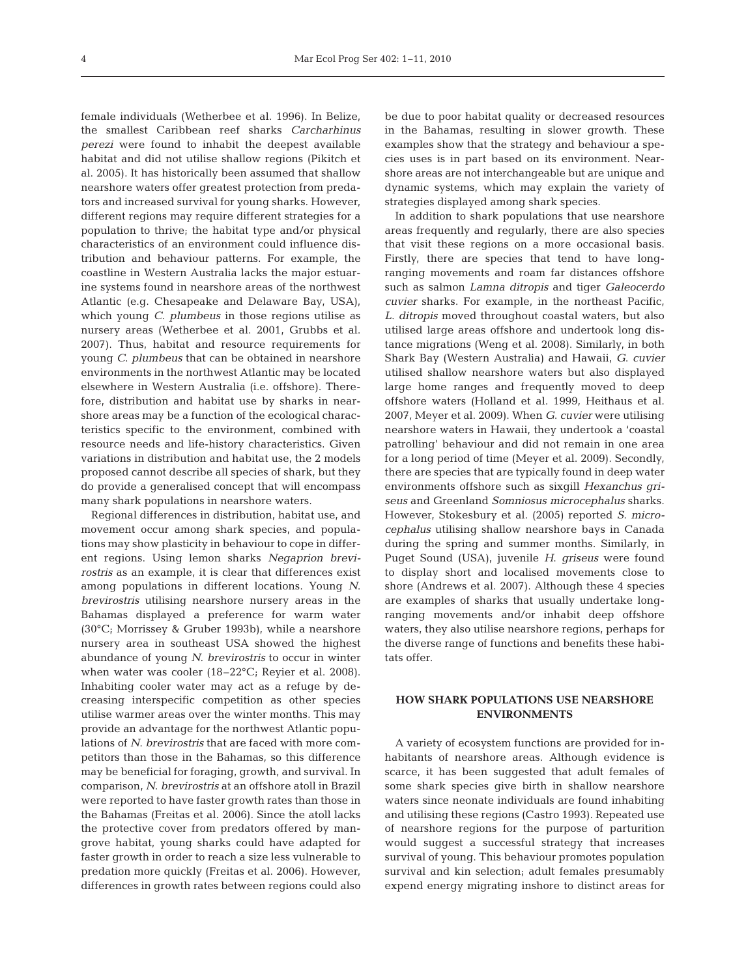female individuals (Wetherbee et al. 1996). In Belize, the smallest Caribbean reef sharks *Carcharhinus perezi* were found to inhabit the deepest available habitat and did not utilise shallow regions (Pikitch et al. 2005). It has historically been assumed that shallow nearshore waters offer greatest protection from predators and increased survival for young sharks. However, different regions may require different strategies for a population to thrive; the habitat type and/or physical characteristics of an environment could influence distribution and behaviour patterns. For example, the coastline in Western Australia lacks the major estuarine systems found in nearshore areas of the northwest Atlantic (e.g. Chesapeake and Delaware Bay, USA), which young *C*. *plumbeus* in those regions utilise as nursery areas (Wetherbee et al. 2001, Grubbs et al. 2007). Thus, habitat and resource requirements for young *C*. *plumbeus* that can be obtained in nearshore environments in the northwest Atlantic may be located elsewhere in Western Australia (i.e. offshore). Therefore, distribution and habitat use by sharks in nearshore areas may be a function of the ecological characteristics specific to the environment, combined with resource needs and life-history characteristics. Given variations in distribution and habitat use, the 2 models proposed cannot describe all species of shark, but they do provide a generalised concept that will encompass many shark populations in nearshore waters.

Regional differences in distribution, habitat use, and movement occur among shark species, and populations may show plasticity in behaviour to cope in different regions. Using lemon sharks *Negaprion brevirostris* as an example, it is clear that differences exist among populations in different locations. Young *N*. *brevirostris* utilising nearshore nursery areas in the Bahamas displayed a preference for warm water (30°C; Morrissey & Gruber 1993b), while a nearshore nursery area in southeast USA showed the highest abundance of young *N*. *brevirostris* to occur in winter when water was cooler (18–22°C; Reyier et al. 2008). Inhabiting cooler water may act as a refuge by decreasing interspecific competition as other species utilise warmer areas over the winter months. This may provide an advantage for the northwest Atlantic populations of *N*. *brevirostris* that are faced with more competitors than those in the Bahamas, so this difference may be beneficial for foraging, growth, and survival. In comparison, *N*. *brevirostris* at an offshore atoll in Brazil were reported to have faster growth rates than those in the Bahamas (Freitas et al. 2006). Since the atoll lacks the protective cover from predators offered by mangrove habitat, young sharks could have adapted for faster growth in order to reach a size less vulnerable to predation more quickly (Freitas et al. 2006). However, differences in growth rates between regions could also

be due to poor habitat quality or decreased resources in the Bahamas, resulting in slower growth. These examples show that the strategy and behaviour a species uses is in part based on its environment. Nearshore areas are not interchangeable but are unique and dynamic systems, which may explain the variety of strategies displayed among shark species.

In addition to shark populations that use nearshore areas frequently and regularly, there are also species that visit these regions on a more occasional basis. Firstly, there are species that tend to have longranging movements and roam far distances offshore such as salmon *Lamna ditropis* and tiger *Galeocerdo cuvier* sharks. For example, in the northeast Pacific, *L*. *ditropis* moved throughout coastal waters, but also utilised large areas offshore and undertook long distance migrations (Weng et al. 2008). Similarly, in both Shark Bay (Western Australia) and Hawaii, *G*. *cuvier* utilised shallow nearshore waters but also displayed large home ranges and frequently moved to deep offshore waters (Holland et al. 1999, Heithaus et al. 2007, Meyer et al. 2009). When *G*. *cuvier* were utilising nearshore waters in Hawaii, they undertook a 'coastal patrolling' behaviour and did not remain in one area for a long period of time (Meyer et al. 2009). Secondly, there are species that are typically found in deep water environments offshore such as sixgill *Hexanchus griseus* and Greenland *Somniosus microcephalus* sharks. However, Stokesbury et al. (2005) reported *S*. *microcephalus* utilising shallow nearshore bays in Canada during the spring and summer months. Similarly, in Puget Sound (USA), juvenile *H*. *griseus* were found to display short and localised movements close to shore (Andrews et al. 2007). Although these 4 species are examples of sharks that usually undertake longranging movements and/or inhabit deep offshore waters, they also utilise nearshore regions, perhaps for the diverse range of functions and benefits these habitats offer.

#### **HOW SHARK POPULATIONS USE NEARSHORE ENVIRONMENTS**

A variety of ecosystem functions are provided for inhabitants of nearshore areas. Although evidence is scarce, it has been suggested that adult females of some shark species give birth in shallow nearshore waters since neonate individuals are found inhabiting and utilising these regions (Castro 1993). Repeated use of nearshore regions for the purpose of parturition would suggest a successful strategy that increases survival of young. This behaviour promotes population survival and kin selection; adult females presumably expend energy migrating inshore to distinct areas for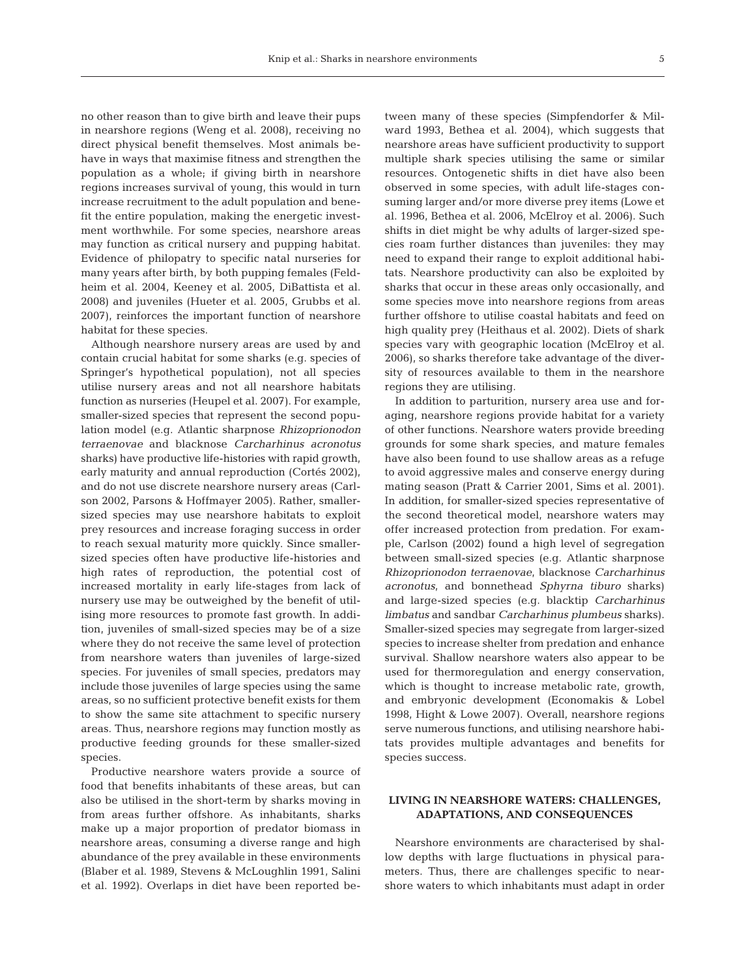no other reason than to give birth and leave their pups in nearshore regions (Weng et al. 2008), receiving no direct physical benefit themselves. Most animals behave in ways that maximise fitness and strengthen the population as a whole; if giving birth in nearshore regions increases survival of young, this would in turn increase recruitment to the adult population and benefit the entire population, making the energetic investment worthwhile. For some species, nearshore areas may function as critical nursery and pupping habitat. Evidence of philopatry to specific natal nurseries for many years after birth, by both pupping females (Feldheim et al. 2004, Keeney et al. 2005, DiBattista et al. 2008) and juveniles (Hueter et al. 2005, Grubbs et al. 2007), reinforces the important function of nearshore habitat for these species.

Although nearshore nursery areas are used by and contain crucial habitat for some sharks (e.g. species of Springer's hypothetical population), not all species utilise nursery areas and not all nearshore habitats function as nurseries (Heupel et al. 2007). For example, smaller-sized species that represent the second population model (e.g. Atlantic sharpnose *Rhizoprionodon terraenovae* and blacknose *Carcharhinus acronotus* sharks) have productive life-histories with rapid growth, early maturity and annual reproduction (Cortés 2002), and do not use discrete nearshore nursery areas (Carlson 2002, Parsons & Hoffmayer 2005). Rather, smallersized species may use nearshore habitats to exploit prey resources and increase foraging success in order to reach sexual maturity more quickly. Since smallersized species often have productive life-histories and high rates of reproduction, the potential cost of increased mortality in early life-stages from lack of nursery use may be outweighed by the benefit of utilising more resources to promote fast growth. In addition, juveniles of small-sized species may be of a size where they do not receive the same level of protection from nearshore waters than juveniles of large-sized species. For juveniles of small species, predators may include those juveniles of large species using the same areas, so no sufficient protective benefit exists for them to show the same site attachment to specific nursery areas. Thus, nearshore regions may function mostly as productive feeding grounds for these smaller-sized species.

Productive nearshore waters provide a source of food that benefits inhabitants of these areas, but can also be utilised in the short-term by sharks moving in from areas further offshore. As inhabitants, sharks make up a major proportion of predator biomass in nearshore areas, consuming a diverse range and high abundance of the prey available in these environments (Blaber et al. 1989, Stevens & McLoughlin 1991, Salini et al. 1992). Overlaps in diet have been reported between many of these species (Simpfendorfer & Milward 1993, Bethea et al. 2004), which suggests that nearshore areas have sufficient productivity to support multiple shark species utilising the same or similar resources. Ontogenetic shifts in diet have also been observed in some species, with adult life-stages consuming larger and/or more diverse prey items (Lowe et al. 1996, Bethea et al. 2006, McElroy et al. 2006). Such shifts in diet might be why adults of larger-sized species roam further distances than juveniles: they may need to expand their range to exploit additional habitats. Nearshore productivity can also be exploited by sharks that occur in these areas only occasionally, and some species move into nearshore regions from areas further offshore to utilise coastal habitats and feed on high quality prey (Heithaus et al. 2002). Diets of shark species vary with geographic location (McElroy et al. 2006), so sharks therefore take advantage of the diversity of resources available to them in the nearshore regions they are utilising.

In addition to parturition, nursery area use and foraging, nearshore regions provide habitat for a variety of other functions. Nearshore waters provide breeding grounds for some shark species, and mature females have also been found to use shallow areas as a refuge to avoid aggressive males and conserve energy during mating season (Pratt & Carrier 2001, Sims et al. 2001). In addition, for smaller-sized species representative of the second theoretical model, nearshore waters may offer increased protection from predation. For example, Carlson (2002) found a high level of segregation between small-sized species (e.g. Atlantic sharpnose *Rhizoprionodon terraenovae*, blacknose *Carcharhinus acronotus*, and bonnethead *Sphyrna tiburo* sharks) and large-sized species (e.g. blacktip *Carcharhinus limbatus* and sandbar *Carcharhinus plumbeus* sharks). Smaller-sized species may segregate from larger-sized species to increase shelter from predation and enhance survival. Shallow nearshore waters also appear to be used for thermoregulation and energy conservation, which is thought to increase metabolic rate, growth, and embryonic development (Economakis & Lobel 1998, Hight & Lowe 2007). Overall, nearshore regions serve numerous functions, and utilising nearshore habitats provides multiple advantages and benefits for species success.

#### **LIVING IN NEARSHORE WATERS: CHALLENGES, ADAPTATIONS, AND CONSEQUENCES**

Nearshore environments are characterised by shallow depths with large fluctuations in physical parameters. Thus, there are challenges specific to nearshore waters to which inhabitants must adapt in order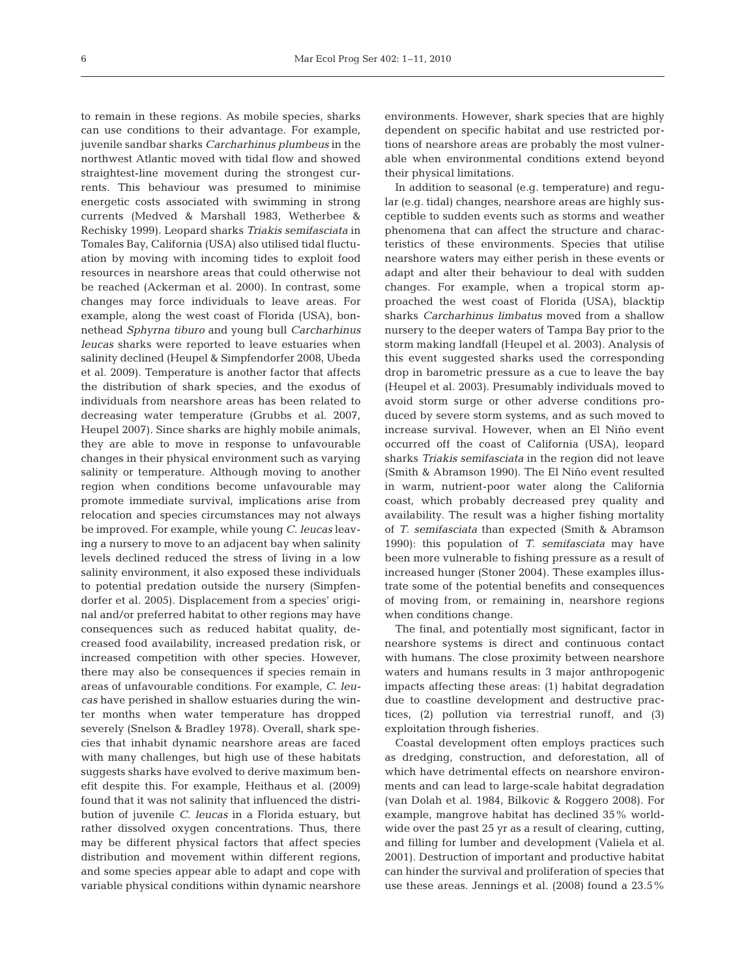to remain in these regions. As mobile species, sharks can use conditions to their advantage. For example, juvenile sandbar sharks *Carcharhinus plumbeus* in the northwest Atlantic moved with tidal flow and showed straightest-line movement during the strongest currents. This behaviour was presumed to minimise energetic costs associated with swimming in strong currents (Medved & Marshall 1983, Wetherbee & Rechisky 1999). Leopard sharks *Triakis semifasciata* in Tomales Bay, California (USA) also utilised tidal fluctuation by moving with incoming tides to exploit food resources in nearshore areas that could otherwise not be reached (Ackerman et al. 2000). In contrast, some changes may force individuals to leave areas. For example, along the west coast of Florida (USA), bonnethead *Sphyrna tiburo* and young bull *Carcharhinus leucas* sharks were reported to leave estuaries when salinity declined (Heupel & Simpfendorfer 2008, Ubeda et al. 2009). Temperature is another factor that affects the distribution of shark species, and the exodus of individuals from nearshore areas has been related to decreasing water temperature (Grubbs et al. 2007, Heupel 2007). Since sharks are highly mobile animals, they are able to move in response to unfavourable changes in their physical environment such as varying salinity or temperature. Although moving to another region when conditions become unfavourable may promote immediate survival, implications arise from relocation and species circumstances may not always be improved. For example, while young *C*. *leucas* leaving a nursery to move to an adjacent bay when salinity levels declined reduced the stress of living in a low salinity environment, it also exposed these individuals to potential predation outside the nursery (Simpfendorfer et al. 2005). Displacement from a species' original and/or preferred habitat to other regions may have consequences such as reduced habitat quality, decreased food availability, increased predation risk, or increased competition with other species. However, there may also be consequences if species remain in areas of unfavourable conditions. For example, *C*. *leucas* have perished in shallow estuaries during the winter months when water temperature has dropped severely (Snelson & Bradley 1978). Overall, shark species that inhabit dynamic nearshore areas are faced with many challenges, but high use of these habitats suggests sharks have evolved to derive maximum benefit despite this. For example, Heithaus et al. (2009) found that it was not salinity that influenced the distribution of juvenile *C*. *leucas* in a Florida estuary, but rather dissolved oxygen concentrations. Thus, there may be different physical factors that affect species distribution and movement within different regions, and some species appear able to adapt and cope with variable physical conditions within dynamic nearshore

environments. However, shark species that are highly dependent on specific habitat and use restricted portions of nearshore areas are probably the most vulnerable when environmental conditions extend beyond their physical limitations.

In addition to seasonal (e.g. temperature) and regular (e.g. tidal) changes, nearshore areas are highly susceptible to sudden events such as storms and weather phenomena that can affect the structure and characteristics of these environments. Species that utilise nearshore waters may either perish in these events or adapt and alter their behaviour to deal with sudden changes. For example, when a tropical storm approached the west coast of Florida (USA), blacktip sharks *Carcharhinus limbatus* moved from a shallow nursery to the deeper waters of Tampa Bay prior to the storm making landfall (Heupel et al. 2003). Analysis of this event suggested sharks used the corresponding drop in barometric pressure as a cue to leave the bay (Heupel et al. 2003). Presumably individuals moved to avoid storm surge or other adverse conditions produced by severe storm systems, and as such moved to increase survival. However, when an El Niño event occurred off the coast of California (USA), leopard sharks *Triakis semifasciata* in the region did not leave (Smith & Abramson 1990). The El Niño event resulted in warm, nutrient-poor water along the California coast, which probably decreased prey quality and availability. The result was a higher fishing mortality of *T*. *semifasciata* than expected (Smith & Abramson 1990): this population of *T*. *semifasciata* may have been more vulnerable to fishing pressure as a result of increased hunger (Stoner 2004). These examples illustrate some of the potential benefits and consequences of moving from, or remaining in, nearshore regions when conditions change.

The final, and potentially most significant, factor in nearshore systems is direct and continuous contact with humans. The close proximity between nearshore waters and humans results in 3 major anthropogenic impacts affecting these areas: (1) habitat degradation due to coastline development and destructive practices, (2) pollution via terrestrial runoff, and (3) exploitation through fisheries.

Coastal development often employs practices such as dredging, construction, and deforestation, all of which have detrimental effects on nearshore environments and can lead to large-scale habitat degradation (van Dolah et al. 1984, Bilkovic & Roggero 2008). For example, mangrove habitat has declined 35% worldwide over the past 25 yr as a result of clearing, cutting, and filling for lumber and development (Valiela et al. 2001). Destruction of important and productive habitat can hinder the survival and proliferation of species that use these areas. Jennings et al. (2008) found a 23.5%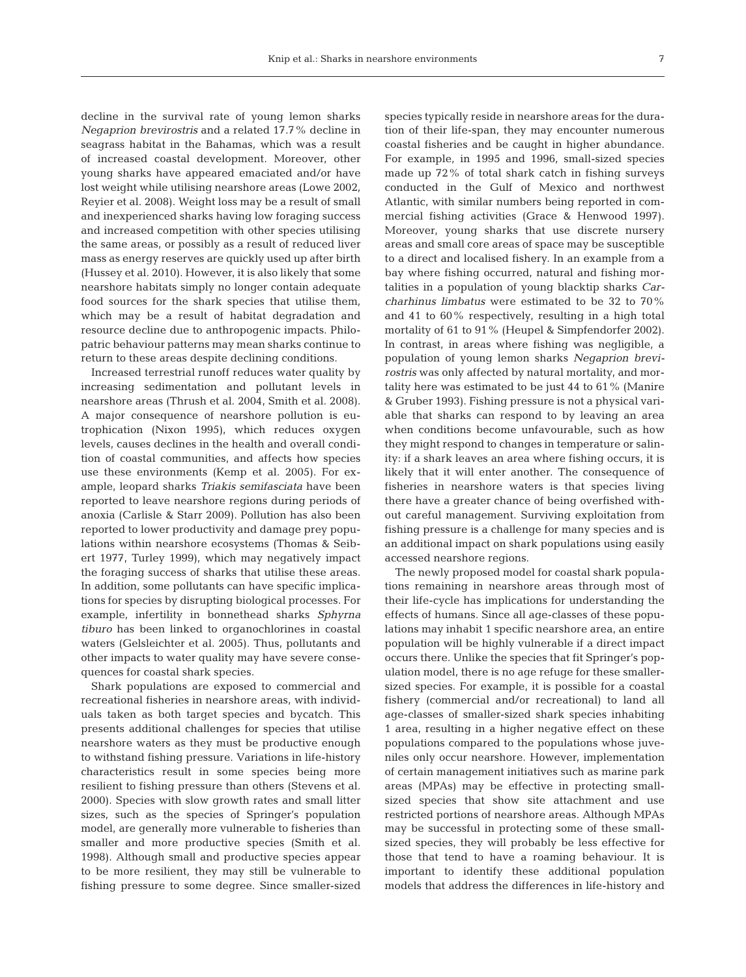decline in the survival rate of young lemon sharks *Negaprion brevirostris* and a related 17.7% decline in seagrass habitat in the Bahamas, which was a result of increased coastal development. Moreover, other young sharks have appeared emaciated and/or have lost weight while utilising nearshore areas (Lowe 2002, Reyier et al. 2008). Weight loss may be a result of small and inexperienced sharks having low foraging success and increased competition with other species utilising the same areas, or possibly as a result of reduced liver mass as energy reserves are quickly used up after birth (Hussey et al. 2010). However, it is also likely that some nearshore habitats simply no longer contain adequate food sources for the shark species that utilise them, which may be a result of habitat degradation and resource decline due to anthropogenic impacts. Philopatric behaviour patterns may mean sharks continue to return to these areas despite declining conditions.

Increased terrestrial runoff reduces water quality by increasing sedimentation and pollutant levels in nearshore areas (Thrush et al. 2004, Smith et al. 2008). A major consequence of nearshore pollution is eutrophication (Nixon 1995), which reduces oxygen levels, causes declines in the health and overall condition of coastal communities, and affects how species use these environments (Kemp et al. 2005). For example, leopard sharks *Triakis semifasciata* have been reported to leave nearshore regions during periods of anoxia (Carlisle & Starr 2009). Pollution has also been reported to lower productivity and damage prey populations within nearshore ecosystems (Thomas & Seibert 1977, Turley 1999), which may negatively impact the foraging success of sharks that utilise these areas. In addition, some pollutants can have specific implications for species by disrupting biological processes. For example, infertility in bonnethead sharks *Sphyrna tiburo* has been linked to organochlorines in coastal waters (Gelsleichter et al. 2005). Thus, pollutants and other impacts to water quality may have severe consequences for coastal shark species.

Shark populations are exposed to commercial and recreational fisheries in nearshore areas, with individuals taken as both target species and bycatch. This presents additional challenges for species that utilise nearshore waters as they must be productive enough to withstand fishing pressure. Variations in life-history characteristics result in some species being more resilient to fishing pressure than others (Stevens et al. 2000). Species with slow growth rates and small litter sizes, such as the species of Springer's population model, are generally more vulnerable to fisheries than smaller and more productive species (Smith et al. 1998). Although small and productive species appear to be more resilient, they may still be vulnerable to fishing pressure to some degree. Since smaller-sized

species typically reside in nearshore areas for the duration of their life-span, they may encounter numerous coastal fisheries and be caught in higher abundance. For example, in 1995 and 1996, small-sized species made up 72% of total shark catch in fishing surveys conducted in the Gulf of Mexico and northwest Atlantic, with similar numbers being reported in commercial fishing activities (Grace & Henwood 1997). Moreover, young sharks that use discrete nursery areas and small core areas of space may be susceptible to a direct and localised fishery. In an example from a bay where fishing occurred, natural and fishing mortalities in a population of young blacktip sharks *Carcharhinus limbatus* were estimated to be 32 to 70% and 41 to 60% respectively, resulting in a high total mortality of 61 to 91% (Heupel & Simpfendorfer 2002). In contrast, in areas where fishing was negligible, a population of young lemon sharks *Negaprion brevirostris* was only affected by natural mortality, and mortality here was estimated to be just 44 to 61% (Manire & Gruber 1993). Fishing pressure is not a physical variable that sharks can respond to by leaving an area when conditions become unfavourable, such as how they might respond to changes in temperature or salinity: if a shark leaves an area where fishing occurs, it is likely that it will enter another. The consequence of fisheries in nearshore waters is that species living there have a greater chance of being overfished without careful management. Surviving exploitation from fishing pressure is a challenge for many species and is an additional impact on shark populations using easily accessed nearshore regions.

The newly proposed model for coastal shark populations remaining in nearshore areas through most of their life-cycle has implications for understanding the effects of humans. Since all age-classes of these populations may inhabit 1 specific nearshore area, an entire population will be highly vulnerable if a direct impact occurs there. Unlike the species that fit Springer's population model, there is no age refuge for these smallersized species. For example, it is possible for a coastal fishery (commercial and/or recreational) to land all age-classes of smaller-sized shark species inhabiting 1 area, resulting in a higher negative effect on these populations compared to the populations whose juveniles only occur nearshore. However, implementation of certain management initiatives such as marine park areas (MPAs) may be effective in protecting smallsized species that show site attachment and use restricted portions of nearshore areas. Although MPAs may be successful in protecting some of these smallsized species, they will probably be less effective for those that tend to have a roaming behaviour. It is important to identify these additional population models that address the differences in life-history and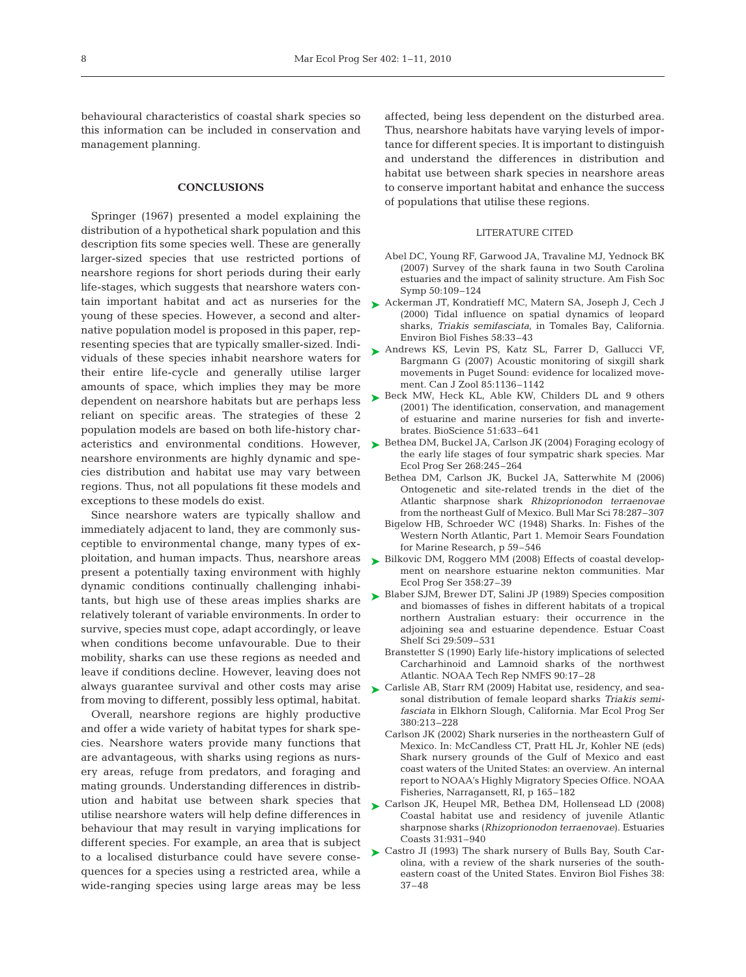behavioural characteristics of coastal shark species so this information can be included in conservation and management planning.

#### **CONCLUSIONS**

Springer (1967) presented a model explaining the distribution of a hypothetical shark population and this description fits some species well. These are generally larger-sized species that use restricted portions of nearshore regions for short periods during their early life-stages, which suggests that nearshore waters contain important habitat and act as nurseries for the young of these species. However, a second and alternative population model is proposed in this paper, representing species that are typically smaller-sized. Individuals of these species inhabit nearshore waters for their entire life-cycle and generally utilise larger amounts of space, which implies they may be more dependent on nearshore habitats but are perhaps less reliant on specific areas. The strategies of these 2 population models are based on both life-history charnearshore environments are highly dynamic and species distribution and habitat use may vary between regions. Thus, not all populations fit these models and exceptions to these models do exist.

Since nearshore waters are typically shallow and immediately adjacent to land, they are commonly susceptible to environmental change, many types of exploitation, and human impacts. Thus, nearshore areas present a potentially taxing environment with highly dynamic conditions continually challenging inhabitants, but high use of these areas implies sharks are relatively tolerant of variable environments. In order to survive, species must cope, adapt accordingly, or leave when conditions become unfavourable. Due to their mobility, sharks can use these regions as needed and leave if conditions decline. However, leaving does not always guarantee survival and other costs may arise from moving to different, possibly less optimal, habitat.

Overall, nearshore regions are highly productive and offer a wide variety of habitat types for shark species. Nearshore waters provide many functions that are advantageous, with sharks using regions as nursery areas, refuge from predators, and foraging and mating grounds. Understanding differences in distribution and habitat use between shark species that utilise nearshore waters will help define differences in behaviour that may result in varying implications for different species. For example, an area that is subject to a localised disturbance could have severe consequences for a species using a restricted area, while a wide-ranging species using large areas may be less

affected, being less dependent on the disturbed area. Thus, nearshore habitats have varying levels of importance for different species. It is important to distinguish and understand the differences in distribution and habitat use between shark species in nearshore areas to conserve important habitat and enhance the success of populations that utilise these regions.

#### LITERATURE CITED

- Abel DC, Young RF, Garwood JA, Travaline MJ, Yednock BK (2007) Survey of the shark fauna in two South Carolina estuaries and the impact of salinity structure. Am Fish Soc Symp 50:109–124
- ► Ackerman JT, Kondratieff MC, Matern SA, Joseph J, Cech J (2000) Tidal influence on spatial dynamics of leopard sharks, *Triakis semifasciata*, in Tomales Bay, California. Environ Biol Fishes 58:33–43
- ▶ Andrews KS, Levin PS, Katz SL, Farrer D, Gallucci VF, Bargmann G (2007) Acoustic monitoring of sixgill shark movements in Puget Sound: evidence for localized movement. Can J Zool 85:1136–1142
- ▶ Beck MW, Heck KL, Able KW, Childers DL and 9 others (2001) The identification, conservation, and management of estuarine and marine nurseries for fish and invertebrates. BioScience 51:633–641
- acteristics and environmental conditions. However, Bethea DM, Buckel JA, Carlson JK (2004) Foraging ecology of ➤ the early life stages of four sympatric shark species. Mar Ecol Prog Ser 268:245–264
	- Bethea DM, Carlson JK, Buckel JA, Satterwhite M (2006) Ontogenetic and site-related trends in the diet of the Atlantic sharpnose shark *Rhizoprionodon terraenovae* from the northeast Gulf of Mexico. Bull Mar Sci 78:287–307
	- Bigelow HB, Schroeder WC (1948) Sharks. In: Fishes of the Western North Atlantic, Part 1. Memoir Sears Foundation for Marine Research, p 59–546
	- ► Bilkovic DM, Roggero MM (2008) Effects of coastal development on nearshore estuarine nekton communities. Mar Ecol Prog Ser 358:27–39
	- ► Blaber SJM, Brewer DT, Salini JP (1989) Species composition and biomasses of fishes in different habitats of a tropical northern Australian estuary: their occurrence in the adjoining sea and estuarine dependence. Estuar Coast Shelf Sci 29:509–531
		- Branstetter S (1990) Early life-history implications of selected Carcharhinoid and Lamnoid sharks of the northwest Atlantic. NOAA Tech Rep NMFS 90:17–28
	- ► Carlisle AB, Starr RM (2009) Habitat use, residency, and seasonal distribution of female leopard sharks *Triakis semifasciata* in Elkhorn Slough, California. Mar Ecol Prog Ser 380:213–228
		- Carlson JK (2002) Shark nurseries in the northeastern Gulf of Mexico. In: McCandless CT, Pratt HL Jr, Kohler NE (eds) Shark nursery grounds of the Gulf of Mexico and east coast waters of the United States: an overview. An internal report to NOAA's Highly Migratory Species Office. NOAA Fisheries, Narragansett, RI, p 165–182
	- ► Carlson JK, Heupel MR, Bethea DM, Hollensead LD (2008) Coastal habitat use and residency of juvenile Atlantic sharpnose sharks (*Rhizoprionodon terraenovae*). Estuaries Coasts 31:931–940
	- ► Castro JI (1993) The shark nursery of Bulls Bay, South Carolina, with a review of the shark nurseries of the southeastern coast of the United States. Environ Biol Fishes 38: 37–48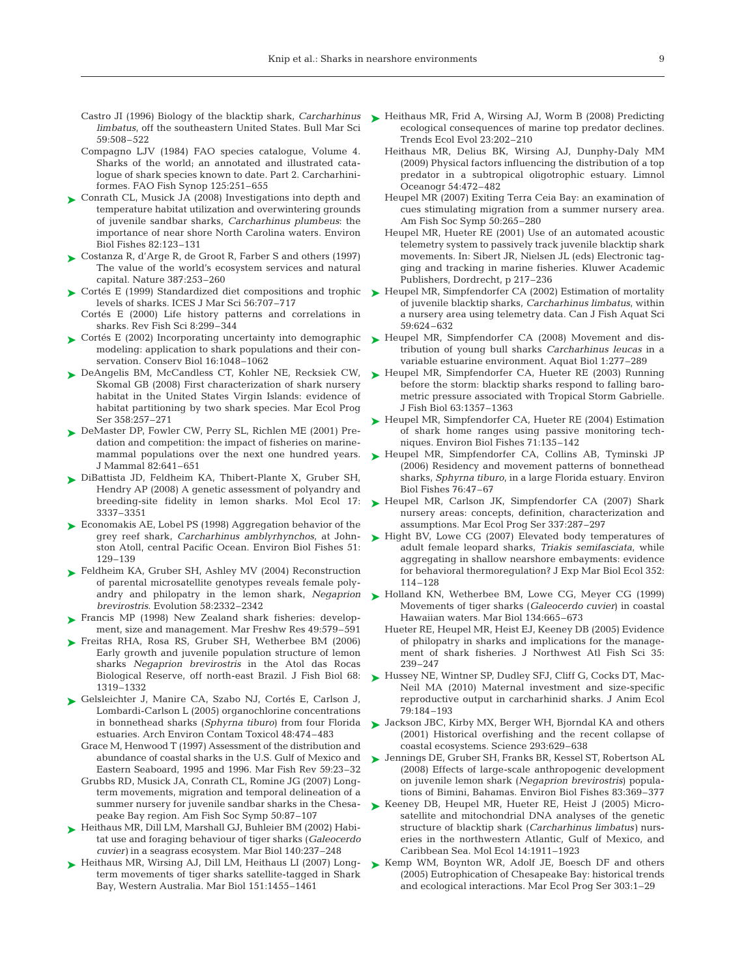- *limbatus*, off the southeastern United States. Bull Mar Sci 59:508–522
- Compagno LJV (1984) FAO species catalogue, Volume 4. Sharks of the world; an annotated and illustrated catalogue of shark species known to date. Part 2. Carcharhiniformes. FAO Fish Synop 125:251–655
- ► Conrath CL, Musick JA (2008) Investigations into depth and temperature habitat utilization and overwintering grounds of juvenile sandbar sharks, *Carcharhinus plumbeus*: the importance of near shore North Carolina waters. Environ Biol Fishes 82:123–131
- ► Costanza R, d'Arge R, de Groot R, Farber S and others (1997) The value of the world's ecosystem services and natural capital. Nature 387:253–260
- ► Cortés E (1999) Standardized diet compositions and trophic levels of sharks. ICES J Mar Sci 56:707–717
	- Cortés E (2000) Life history patterns and correlations in sharks. Rev Fish Sci 8:299–344
- modeling: application to shark populations and their conservation. Conserv Biol 16:1048–1062
- ► DeAngelis BM, McCandless CT, Kohler NE, Recksiek CW, Skomal GB (2008) First characterization of shark nursery habitat in the United States Virgin Islands: evidence of habitat partitioning by two shark species. Mar Ecol Prog Ser 358:257–271
- ▶ DeMaster DP, Fowler CW, Perry SL, Richlen ME (2001) Predation and competition: the impact of fisheries on marinemammal populations over the next one hundred years. J Mammal 82:641–651
- DiBattista JD, Feldheim KA, Thibert-Plante X, Gruber SH, ➤ Hendry AP (2008) A genetic assessment of polyandry and breeding-site fidelity in lemon sharks. Mol Ecol 17: 3337–3351
- ► Economakis AE, Lobel PS (1998) Aggregation behavior of the grey reef shark, *Carcharhinus amblyrhynchos*, at Johnston Atoll, central Pacific Ocean. Environ Biol Fishes 51: 129–139
- ► Feldheim KA, Gruber SH, Ashley MV (2004) Reconstruction of parental microsatellite genotypes reveals female polyandry and philopatry in the lemon shark, *Negaprion brevirostris*. Evolution 58:2332–2342
- ▶ Francis MP (1998) New Zealand shark fisheries: development, size and management. Mar Freshw Res 49:579–591
- ▶ Freitas RHA, Rosa RS, Gruber SH, Wetherbee BM (2006) Early growth and juvenile population structure of lemon sharks *Negaprion brevirostris* in the Atol das Rocas Biological Reserve, off north-east Brazil. J Fish Biol 68: 1319–1332
- Gelsleichter J, Manire CA, Szabo NJ, Cortés E, Carlson J, ➤ Lombardi-Carlson L (2005) organochlorine concentrations in bonnethead sharks (*Sphyrna tiburo*) from four Florida estuaries. Arch Environ Contam Toxicol 48:474–483
	- Grace M, Henwood T (1997) Assessment of the distribution and abundance of coastal sharks in the U.S. Gulf of Mexico and Eastern Seaboard, 1995 and 1996. Mar Fish Rev 59:23–32
	- Grubbs RD, Musick JA, Conrath CL, Romine JG (2007) Longterm movements, migration and temporal delineation of a summer nursery for juvenile sandbar sharks in the Chesapeake Bay region. Am Fish Soc Symp 50:87–107
- ▶ Heithaus MR, Dill LM, Marshall GJ, Buhleier BM (2002) Habitat use and foraging behaviour of tiger sharks (*Galeocerdo cuvier)* in a seagrass ecosystem. Mar Biol 140:237–248
- ▶ Heithaus MR, Wirsing AJ, Dill LM, Heithaus LI (2007) Longterm movements of tiger sharks satellite-tagged in Shark Bay, Western Australia. Mar Biol 151:1455–1461
- Castro JI (1996) Biology of the blacktip shark, *Carcharhinus* Heithaus MR, Frid A, Wirsing AJ, Worm B (2008) Predicting ➤ ecological consequences of marine top predator declines. Trends Ecol Evol 23:202–210
	- Heithaus MR, Delius BK, Wirsing AJ, Dunphy-Daly MM (2009) Physical factors influencing the distribution of a top predator in a subtropical oligotrophic estuary. Limnol Oceanogr 54:472–482
	- Heupel MR (2007) Exiting Terra Ceia Bay: an examination of cues stimulating migration from a summer nursery area. Am Fish Soc Symp 50:265–280
	- Heupel MR, Hueter RE (2001) Use of an automated acoustic telemetry system to passively track juvenile blacktip shark movements. In: Sibert JR, Nielsen JL (eds) Electronic tagging and tracking in marine fisheries. Kluwer Academic Publishers, Dordrecht, p 217–236
	- ► Heupel MR, Simpfendorfer CA (2002) Estimation of mortality of juvenile blacktip sharks, *Carcharhinus limbatus*, within a nursery area using telemetry data. Can J Fish Aquat Sci 59:624–632
- ► Cortés E (2002) Incorporating uncertainty into demographic ► Heupel MR, Simpfendorfer CA (2008) Movement and distribution of young bull sharks *Carcharhinus leucas* in a variable estuarine environment. Aquat Biol 1:277–289
	- ► Heupel MR, Simpfendorfer CA, Hueter RE (2003) Running before the storm: blacktip sharks respond to falling barometric pressure associated with Tropical Storm Gabrielle. J Fish Biol 63:1357–1363
	- ► Heupel MR, Simpfendorfer CA, Hueter RE (2004) Estimation of shark home ranges using passive monitoring techniques. Environ Biol Fishes 71:135–142
	- ▶ Heupel MR, Simpfendorfer CA, Collins AB, Tyminski JP (2006) Residency and movement patterns of bonnethead sharks, *Sphyrna tiburo*, in a large Florida estuary. Environ Biol Fishes 76:47–67
	- ► Heupel MR, Carlson JK, Simpfendorfer CA (2007) Shark nursery areas: concepts, definition, characterization and assumptions. Mar Ecol Prog Ser 337:287–297
	- ► Hight BV, Lowe CG (2007) Elevated body temperatures of adult female leopard sharks, *Triakis semifasciata*, while aggregating in shallow nearshore embayments: evidence for behavioral thermoregulation? J Exp Mar Biol Ecol 352: 114–128
	- ▶ Holland KN, Wetherbee BM, Lowe CG, Meyer CG (1999) Movements of tiger sharks (*Galeocerdo cuvier*) in coastal Hawaiian waters. Mar Biol 134:665–673
		- Hueter RE, Heupel MR, Heist EJ, Keeney DB (2005) Evidence of philopatry in sharks and implications for the management of shark fisheries. J Northwest Atl Fish Sci 35: 239–247
	- ► Hussey NE, Wintner SP, Dudley SFJ, Cliff G, Cocks DT, Mac-Neil MA (2010) Maternal investment and size-specific reproductive output in carcharhinid sharks. J Anim Ecol 79:184–193
	- ► Jackson JBC, Kirby MX, Berger WH, Bjorndal KA and others (2001) Historical overfishing and the recent collapse of coastal ecosystems. Science 293:629–638
	- Jennings DE, Gruber SH, Franks BR, Kessel ST, Robertson AL ➤ (2008) Effects of large-scale anthropogenic development on juvenile lemon shark (*Negaprion brevirostris*) populations of Bimini, Bahamas. Environ Biol Fishes 83:369–377
	- ▶ Keeney DB, Heupel MR, Hueter RE, Heist J (2005) Microsatellite and mitochondrial DNA analyses of the genetic structure of blacktip shark (*Carcharhinus limbatus)* nurseries in the northwestern Atlantic, Gulf of Mexico, and Caribbean Sea. Mol Ecol 14:1911–1923
	- ► Kemp WM, Boynton WR, Adolf JE, Boesch DF and others (2005) Eutrophication of Chesapeake Bay: historical trends and ecological interactions. Mar Ecol Prog Ser 303:1–29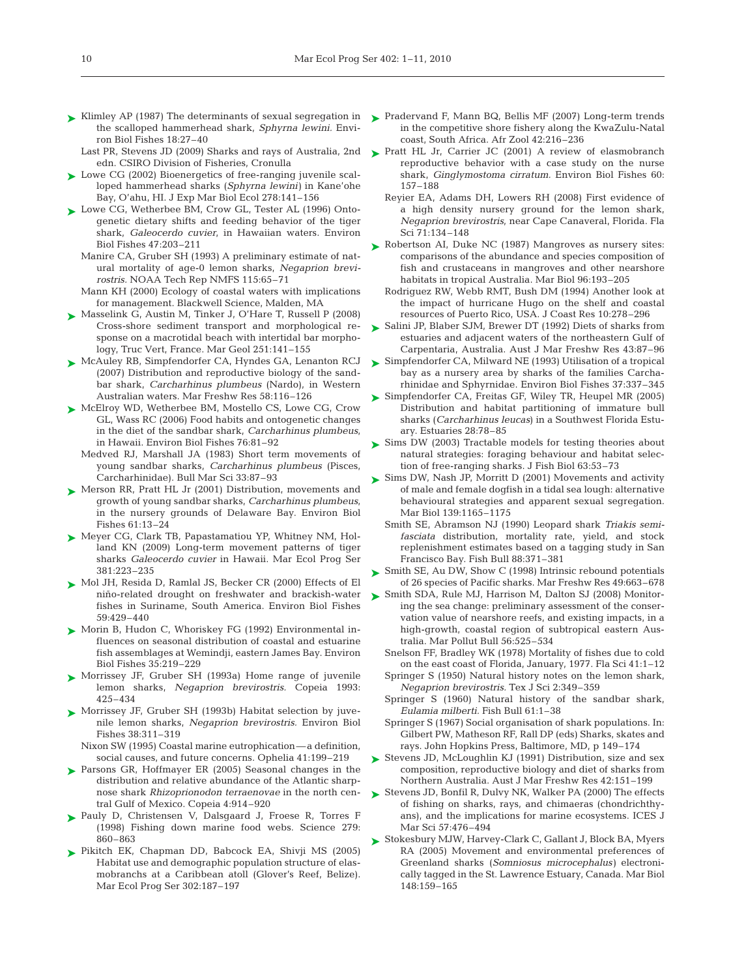- ► Klimley AP (1987) The determinants of sexual segregation in ► Pradervand F, Mann BQ, Bellis MF (2007) Long-term trends the scalloped hammerhead shark, *Sphyrna lewini.* Environ Biol Fishes 18:27–40
	- edn. CSIRO Division of Fisheries, Cronulla
- ► Lowe CG (2002) Bioenergetics of free-ranging juvenile scalloped hammerhead sharks (*Sphyrna lewini)* in Kane'ohe Bay, O'ahu, HI. J Exp Mar Biol Ecol 278:141–156
- ► Lowe CG, Wetherbee BM, Crow GL, Tester AL (1996) Ontogenetic dietary shifts and feeding behavior of the tiger shark, *Galeocerdo cuvier*, in Hawaiian waters. Environ Biol Fishes 47:203–211
	- Manire CA, Gruber SH (1993) A preliminary estimate of natural mortality of age-0 lemon sharks, *Negaprion brevirostris.* NOAA Tech Rep NMFS 115:65–71
	- Mann KH (2000) Ecology of coastal waters with implications for management. Blackwell Science, Malden, MA
- ► Masselink G, Austin M, Tinker J, O'Hare T, Russell P (2008) Cross-shore sediment transport and morphological response on a macrotidal beach with intertidal bar morphology, Truc Vert, France. Mar Geol 251:141–155
- ► McAuley RB, Simpfendorfer CA, Hyndes GA, Lenanton RCJ (2007) Distribution and reproductive biology of the sandbar shark, *Carcharhinus plumbeus* (Nardo), in Western Australian waters. Mar Freshw Res 58:116–126
- ▶ McElroy WD, Wetherbee BM, Mostello CS, Lowe CG, Crow GL, Wass RC (2006) Food habits and ontogenetic changes in the diet of the sandbar shark, *Carcharhinus plumbeus*, in Hawaii. Environ Biol Fishes 76:81–92
	- Medved RJ, Marshall JA (1983) Short term movements of young sandbar sharks, *Carcharhinus plumbeus* (Pisces, Carcharhinidae). Bull Mar Sci 33:87–93
- ▶ Merson RR, Pratt HL Jr (2001) Distribution, movements and growth of young sandbar sharks, *Carcharhinus plumbeus*, in the nursery grounds of Delaware Bay. Environ Biol Fishes 61:13–24
- ► Meyer CG, Clark TB, Papastamatiou YP, Whitney NM, Holland KN (2009) Long-term movement patterns of tiger sharks *Galeocerdo cuvier* in Hawaii. Mar Ecol Prog Ser 381:223–235
- ► Mol JH, Resida D, Ramlal JS, Becker CR (2000) Effects of El niño-related drought on freshwater and brackish-water fishes in Suriname, South America. Environ Biol Fishes 59:429–440
- ► Morin B, Hudon C, Whoriskey FG (1992) Environmental influences on seasonal distribution of coastal and estuarine fish assemblages at Wemindji, eastern James Bay. Environ Biol Fishes 35:219–229
- ▶ Morrissey JF, Gruber SH (1993a) Home range of juvenile lemon sharks, *Negaprion brevirostris.* Copeia 1993: 425–434
- ▶ Morrissey JF, Gruber SH (1993b) Habitat selection by juvenile lemon sharks, *Negaprion brevirostris.* Environ Biol Fishes 38:311–319
	- Nixon SW (1995) Coastal marine eutrophication—a definition, social causes, and future concerns. Ophelia 41:199–219
- ▶ Parsons GR, Hoffmayer ER (2005) Seasonal changes in the distribution and relative abundance of the Atlantic sharpnose shark *Rhizoprionodon terraenovae* in the north central Gulf of Mexico. Copeia 4:914–920
- Pauly D, Christensen V, Dalsgaard J, Froese R, Torres F ➤ (1998) Fishing down marine food webs. Science 279: 860–863
- ▶ Pikitch EK, Chapman DD, Babcock EA, Shivji MS (2005) Habitat use and demographic population structure of elasmobranchs at a Caribbean atoll (Glover's Reef, Belize). Mar Ecol Prog Ser 302:187–197
- in the competitive shore fishery along the KwaZulu-Natal coast, South Africa. Afr Zool 42:216–236
- Last PR, Stevens JD (2009) Sharks and rays of Australia, 2nd  $\triangleright$  Pratt HL Jr, Carrier JC (2001) A review of elasmobranch reproductive behavior with a case study on the nurse shark, *Ginglymostoma cirratum.* Environ Biol Fishes 60: 157–188
	- Reyier EA, Adams DH, Lowers RH (2008) First evidence of a high density nursery ground for the lemon shark, *Negaprion brevirostris*, near Cape Canaveral, Florida. Fla Sci 71:134–148
	- ► Robertson AI, Duke NC (1987) Mangroves as nursery sites: comparisons of the abundance and species composition of fish and crustaceans in mangroves and other nearshore habitats in tropical Australia. Mar Biol 96:193–205
		- Rodriguez RW, Webb RMT, Bush DM (1994) Another look at the impact of hurricane Hugo on the shelf and coastal resources of Puerto Rico, USA. J Coast Res 10:278–296
	- ► Salini JP, Blaber SJM, Brewer DT (1992) Diets of sharks from estuaries and adjacent waters of the northeastern Gulf of Carpentaria, Australia. Aust J Mar Freshw Res 43:87–96
	- ► Simpfendorfer CA, Milward NE (1993) Utilisation of a tropical bay as a nursery area by sharks of the families Carcharhinidae and Sphyrnidae. Environ Biol Fishes 37:337–345
	- ► Simpfendorfer CA, Freitas GF, Wiley TR, Heupel MR (2005) Distribution and habitat partitioning of immature bull sharks (*Carcharhinus leucas*) in a Southwest Florida Estuary. Estuaries 28:78–85
	- ► Sims DW (2003) Tractable models for testing theories about natural strategies: foraging behaviour and habitat selection of free-ranging sharks. J Fish Biol 63:53–73
	- ► Sims DW, Nash JP, Morritt D (2001) Movements and activity of male and female dogfish in a tidal sea lough: alternative behavioural strategies and apparent sexual segregation. Mar Biol 139:1165–1175
		- Smith SE, Abramson NJ (1990) Leopard shark *Triakis semifasciata* distribution, mortality rate, yield, and stock replenishment estimates based on a tagging study in San Francisco Bay. Fish Bull 88:371–381
	- ► Smith SE, Au DW, Show C (1998) Intrinsic rebound potentials of 26 species of Pacific sharks. Mar Freshw Res 49:663–678
	- ► Smith SDA, Rule MJ, Harrison M, Dalton SJ (2008) Monitoring the sea change: preliminary assessment of the conservation value of nearshore reefs, and existing impacts, in a high-growth, coastal region of subtropical eastern Australia. Mar Pollut Bull 56:525–534
		- Snelson FF, Bradley WK (1978) Mortality of fishes due to cold on the east coast of Florida, January, 1977. Fla Sci 41:1–12
		- Springer S (1950) Natural history notes on the lemon shark, *Negaprion brevirostris.* Tex J Sci 2:349–359
		- Springer S (1960) Natural history of the sandbar shark, *Eulamia milberti.* Fish Bull 61:1–38
		- Springer S (1967) Social organisation of shark populations. In: Gilbert PW, Matheson RF, Rall DP (eds) Sharks, skates and rays. John Hopkins Press, Baltimore, MD, p 149–174
	- ► Stevens JD, McLoughlin KJ (1991) Distribution, size and sex composition, reproductive biology and diet of sharks from Northern Australia. Aust J Mar Freshw Res 42:151–199
	- ► Stevens JD, Bonfil R, Dulvy NK, Walker PA (2000) The effects of fishing on sharks, rays, and chimaeras (chondrichthyans), and the implications for marine ecosystems. ICES J Mar Sci 57:476–494
	- ► Stokesbury MJW, Harvey-Clark C, Gallant J, Block BA, Myers RA (2005) Movement and environmental preferences of Greenland sharks (*Somniosus microcephalus)* electronically tagged in the St. Lawrence Estuary, Canada. Mar Biol 148:159–165